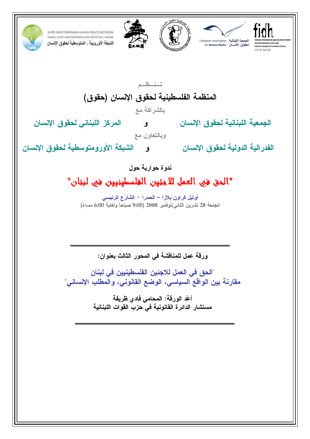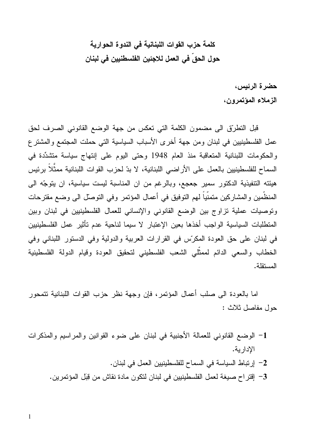# كلمة حزب القوات اللبنانية في الندوة الحوارية حول الحق فى العمل للاجئين الفلسطنيين فى لبنان

حضر ة الرئيس، الزملاء المؤتمرون،

قبل التطريُّق الى مضمون الكلمة التي تعكس من جهة الوضع القانوني الصرف لحق عمل الفلسطينيين في لبنان ومن جهة أخرى الأسباب السياسية التي حملت المجتمع والمشترع والحكومات اللبنانية المتعاقبة منذ العام 1948 وحتى اليوم على إنتهاج سياسة متشدِّدة في السماح للفلسطينيين بالعمل على الأراضي اللبنانية، لا بدّ لحزب القوات اللبنانية ممثّلاً برئيس هيئته التتفيذية الدكتور سمير جعجع، وبالرغم من ان المناسبة ليست سياسية، ان يتوجّه الى المنظَّمين والمشاركين متمنياً لهم التوفيق في أعمال المؤتمر وفي التوصل الى وضع مقترحات ونوصيات عملية نزاوج بين الوضع القانوني والإنساني للعمال الفلسطينيين في لبنان وبين المتطلبات السياسية الواجب أخذها بعين الإعتبار لا سيما لناحية عدم تأثير عمل الفلسطينيين في لبنان على حق العودة المكرّس في القرارات العربية والدولية وفي الدستور اللبناني وفي الخطاب والسعى الدائم لممثّلي الشعب الفلسطيني لتحقيق العودة وقيام الدولة الفلسطينية المستقلة.

اما بالعودة الى صلب أعمال المؤتمر ، فإن وجهة نظر حزب القوات اللبنانية نتمحور حول مفاصل ثلاث :

1- الوضع القانوني للعمالة الأجنبية في لبنان على ضوء القوانين والمراسيم والمذكرات الإدار ية. 2– إرتباط السياسة في السماح للفلسطينيين العمل في لبنان. 3– إقتراح صيغة لعمل الفلسطينيين في لبنان لتكون مادة نقاش من قِبَل المؤتمرين.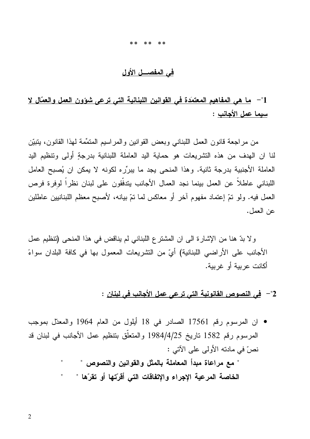#### \*\* \*\* \*\*

### في المفصـــل الأول

## 1"- ما هي المفاهيم المعتمَدة في القوانين اللبنانية التي ترعى شَوْون العمل والعمّال لا سيما عمل الأجانب :

من مراجعة قانون العمل اللبناني وبعض القوانين والمراسيم المنمِّمة لمهذا القانون، ينبيِّن لنا ان الهدف من هذه النشريعات هو حماية اليد العاملة اللبنانية بدرجةٍ أولى ونتظيم اليد العاملة الأجنبية بدرجة ثانية. وهذا المنحى يجد ما يبرِّره لكونه لا يمكن ان يُصبح العامل اللبناني عاطلاً عن العمل بينما نجد العمال الأجانب يتدفَّقون على لبنان نظراً لوفرة فرص العمل فيه. ولو نمّ إعتماد مفهوم آخر أو معاكس لما نمّ بيانه، لأصبح معظم اللبنانيين عاطلين عن العمل.

ولا بدِّ هنا من الإشارة الى ان المشترع اللبناني لم يناقض في هذا المنحى (تنظيم عمل الأجانب على الأراضـي اللبنانية) أيٍّ من النشريعات المعمول بها في كافة البلدان سواءً أكانت عربية أو غريبة.

### 2"— في النصوص القانونية التي ترعي عمل الأجانب في لبنان :

• ان المرسوم رقم 17561 الصادر في 18 أيلول من العام 1964 والمعدّل بموجب المرسوم رقم 1582 تاريخ 1984/4/25 والمتعلِّق بتنظيم عمل الأجانب في لبنان قد نصَّ في مادته الأولى على الآتي :

> " مع مراعاة مبدأ المعاملة بالمثل والقوانين والنصوص " الخاصة المرعية الإجراء والإتفاقات التى أقرّتها أو تقرّها "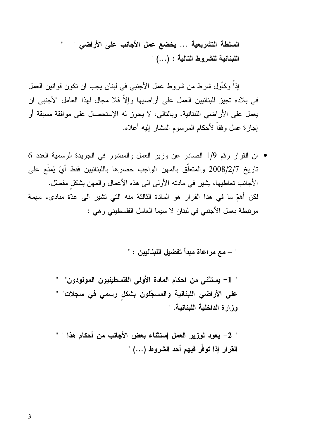السلطة التشريعية ... يخضع عمل الأجانب على الأراضي " " اللبنانية للشروط التالية : (…) "

إذا وكأول شرط من شروط عمل الأجنبي في لبنان يجب ان نكون قوانين العمل في بلاده تجيز للبنانيين العمل على أراضيها وإلاّ فلا مجال لهذا العامل الأجنبي ان يعمل على الأراضـي اللبنانية. وبالتالي، لا يجوز له الإستحصـال علـي موافقة مسبقة أو إجازة عمل وفقاً لأحكام المرسوم المشار إليه أعلاه.

 $6\,$ ان القرار رقم 1/9 الصادر عن وزير العمل والمنشور في الجريدة الرسمية العدد  $\,$ تاريخ 2008/2/7 والمتعلَّق بالمهن الواجب حصرها باللبنانيين فقط أيِّ يُمنَع على الأجانب تعاطيها، يشير في مادته الأولى الى هذه الأعمال والمهن بشكل مفصلٌ. لكن أهمّ ما في هذا القرار هو المادة الثالثة منه التي نشير الى عدّة مبادىء مهمة مرتبطة بعمل الأجنبي في لبنان لا سيما العامل الفلسطيني وهي :

" – مع مر اعاة مبدأ تفضيل اللبنانيين : "

" 1– يستثنى من احكام المادة الأولى الفلسطينيون المولودون" " على الأراضى اللبنانية والمسجّلون بشكل رسمي في سجلات" " وزارة الداخلية اللبنانية. "

" 2- يعود لوزير العمل إستثناء بعض الأجانب من أحكام هذا " " القرار إذا توفُّر فيهم أحد الشروط (…) "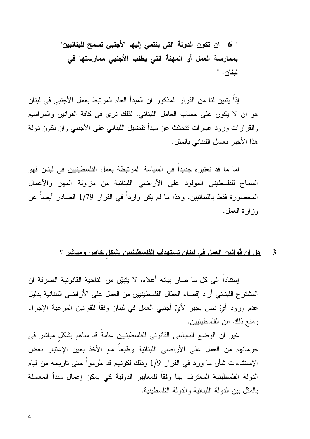" 6– ان تكون الدولة التي ينتمي إليها الأجنبي تسمح للبنانيين" " بممارسة العمل أو المهنة التي يطلب الأجنبي ممارستها في " " لبنان. "

إذا يتبين لنا من القرار المذكور ان المبدأ العام المرتبط بعمل الأجنبي في لبنان هو ان لا يكون على حساب العامل اللبناني. لذلك نرى في كافة القوانين والمراسيم والقرارات ورود عبارات نتحدّث عن مبدأ نفضيل اللبناني على الأجنبي وان نكون دولة هذا الأخير تعامل اللبناني بالمثل.

اما ما قد نعتبره جديداً في السياسة المرتبطة بعمل الفلسطينيين في لبنان فهو السماح للفلسطيني المولود على الأراضي اللبنانية من مزاولة المهن والأعمال المحصورة فقط باللبنانيين. وهذا ما لم يكن واردا في القرار 1/79 الصادر أيضا عن وز ار ة العمل.

3"— هل ان قوانين العمل في لبنان تستهدف الفلسطينيين يشكل خاص ومباشر ؟

إستناداً الى كلِّ ما صـار بيانـه أعلاه، لا يتبيّن من الناحية القانونية الصـرفة ان المشترع اللبناني أراد إقصاء العمّال الفلسطينيين من العمل على الأراضي اللبنانية بدليل عدم ورود أيِّ نص يجيز لأيِّ أجنبي العمل في لبنان وفقا للقوانين المرعية الإجراء ومنع ذلك عن الفلسطينيين.

غير ان الوضع السياسي القانوني للفلسطينيين عامةً قد ساهم بشكل مباشر في حرمانهم من العمل على الأراضـي اللبنانية وطبعاً مع الأخذ بعين الإعتبار بعض الإستثناءات شأن ما ورد في القرار 1/9 وذلك لكونهم قد حُرمواً حتى تاريخه من قيام الدولة الفلسطينية المعترف بها وفقا للمعايير الدولية كي يمكن إعمال مبدأ المعاملة بالمثل بين الدولة اللبنانية والدولة الفلسطينية.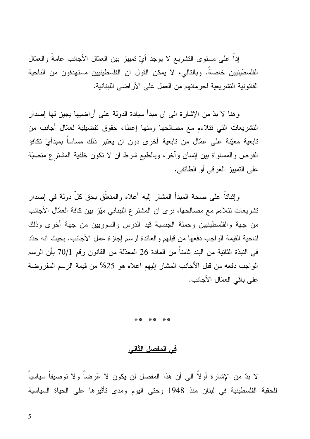إذا على مسنوى النشريع لا يوجد أيِّ نمييز بين العمّال الأجانب عامة والعمّال الفلسطينيين خاصةً. وبالتالي، لا يمكن القول ان الفلسطينيين مستهدفون من الناحية القانونية التشريعية لحرمانهم من العمل على الأراضي اللبنانية.

وهنا لا بدّ من الإشارة الى ان مبدأ سيادة الدولة على أراضيها يجيز لها إصدار النشريعات التي نتلاءم مع مصالحها ومنها إعطاء حقوق نفضيلية لعمّال أجانب من تابعية معيّنة على عمّال من تابعية أخرى دون ان يعتبر ذلك مساساً بمبدأيّ تكافؤ الفرص والمساواة بين إنسان وأخر، وبالطبع شرط ان لا نكون خلفية المشترع منصبّة على التمييز العرفي أو الطائفي.

وإثباتاً على صحة المبدأ المشار إليه أعلاه والمتعلَّق بحق كلِّ دولة في إصدار تشريعات نتلاءم مع مصـالحها، نر ي ان المشتر ع اللبناني ميّز بين كافة العمّال الأجانب من جهة والفلسطينيين وحملة الجنسية قيد الدرس والسوريين من جهة أخرى وذلك لناحية القيمة الواجب دفعها من قبلهم والعائدة لرسم إجازة عمل الأجانب. بحيث انه حدّد في النبذة الثانية من البند ثامنا من المادة 26 المعدّلة من القانون رقم 70/1 بأن الرسم الواجب دفعه من قبل الأجانب المشار إليهم اعلاه هو 25% من قيمة الرسم المفروضة على باقي العمّال الأجانب.

### <u>في المفصل الثاني</u>

لا بدّ من الإشارة أولاً الى أن هذا المفصل لن يكون لا عَرضاً ولا توصيفاً سياسياً للحقبة الفلسطينية في لبنان منذ 1948 وحتى اليوم ومدى تأثيرها على الحياة السياسية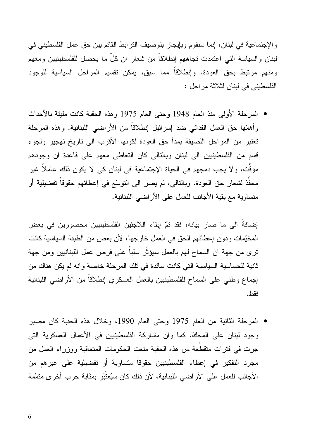و الإجتماعية في لبنان، إنما سنقوم وبإيجاز بتوصيف الترابط القائم بين حق عمل الفلسطيني في لبنان والسياسة التي اعتمدت تجاههم إنطلاقا من شعار ان كل ما يحصل للفلسطينيين ومعهم ومنهم مرتبط بحق العودة. وإنطلاقًا مما سبق، يمكن نقسيم المراحل السياسية للوجود الفلسطيني في لبنان لثلاثة مراحل :

• المرحلة الأولى منذ العام 1948 وحتى العام 1975 وهذه الحقبة كانت مليئة بالأحداث وأهمّها حق العمل الفدائي ضد إسرائيل إنطلاقاً من الأراضـي اللبنانية. وهذه المرحلة تعتبر من المراحل اللصيقة بمدأ حق العودة لكونها الأقرب الى تاريخ تهجير ولجوء قسم من الفلسطينيين الى لبنان وبالتالي كان التعاطي معهم على فاعدة ان وجودهم مؤقت، ولا يجب دمجهم في الحياة الإجتماعية في لبنان كي لا يكون ذلك عاملاً غير محفَّذ لشعار حق العودة. وبالتالي، لم يصر الى النوسِّع في إعطائهم حقوقاً تفضيلية أو منساوية مع بقية الأجانب للعمل على الأراضي اللبنانية.

إضافة الى ما صار بيانه، فقد تمّ إبقاء اللاجئين الفلسطينيين محصورين في بعض المخيِّمات ودون إعطائهم الحق في العمل خارجها، لأن بعض من الطبقة السياسية كانت نرى من جهة ان السماح لهم بالعمل سيؤثِّر سلباً على فرص عمل اللبنانيين ومن جهة ثانية للحساسية السياسية التي كانت سائدة في تلك المرحلة خاصة وانه لم يكن هناك من إجماع وطني على السماح للفلسطينيين بالعمل العسكري إنطلاقا من الأراضبي اللبنانية فقط.

• المرحلة الثانية من العام 1975 وحتى العام 1990، وخلال هذه الحقبة كان مصبر وجود لبنان على المحكِّ. كما وان مشاركة الفلسطينيين في الأعمال العسكرية التي جرت في فترات متقطَّعة من هذه الحقبة منعت الحكومات المتعاقبة ووزراء العمل من مجرد التفكير في إعطاء الفلسطينيين حقوقاً متساوية أو تفضيلية على غيرهم من الأجانب للعمل على الأراضي اللبنانية، لأن ذلك كان سيُعتَبَر بمثابة حرب أخرى متمِّمة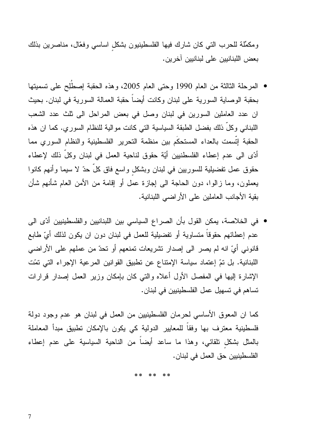ومكمِّلة للحرب التي كان شارك فيها الفلسطينيون بشكل اساسي وفعَّال، مناصرين بذلك بعض اللبنانيين على لبنانيين آخرين.

- المرحلة الثالثة من العام 1990 وحتى العام 2005، وهذه الحقبة إصطُلِح على تسميتها بحقبة الوصاية السورية على لبنان وكانت أيضاً حقبة العمالة السورية في لبنان. بحيث ان عدد العاملين السورين في لبنان وصل في بعض المراحل الى ثلث عدد الشعب اللبناني وكلِّ ذلك بفضل الطبقة السياسية التي كانت موالية للنظام السوري. كما ان هذه الحقبة إتّسمت بالعداء المستحكّم بين منظمة التحرير الفلسطينية والنظام السوري مما أدَّى الى عدم إعطاء الفلسطنيين أيَّة حقوق لناحية العمل في لبنان وكلِّ ذلك لإعطاء حقوق عمل نفضيلية للسوريين في لبنان وبشكل واسع فاق كلَّ حدّ لا سيما وأنهم كانوا يعملون، وما زالوا، دون الحاجة الى إجازة عمل أو إقامة من الأمن العام شأنهم شأن بقية الأجانب العاملين على الأراضي اللبنانية.
- في الخلاصة، يمكن القول بأن الصراع السياسي بين اللبنانيين والفلسطينيين أدّى الى عدم إعطائهم حقوقاً متساوية أو تفضيلية للعمل في لبنان دون ان يكون لذلك أيِّ طابع قانوني أيِّ انه لم يصر الى إصدار نشريعات نمنعهم أو نحدٌ من عملهم على الأراضي اللبنانية. بل تمّ إعتماد سياسة الإمتناع عن تطبيق القوانين المرعية الإجراء التي تمّت الإشارة إليها في المفصل الأول أعلاه والتبي كان بإمكان وزير العمل إصدار قرارات تساهم في تسهيل عمل الفلسطينيين في لبنان.

كما ان المعوق الأساسي لحرمان الفلسطينيين من العمل في لبنان هو عدم وجود دولة فلسطينية معترف بها وفقا للمعايير الدولية كي يكون بالإمكان تطبيق مبدأ المعاملة بالمثل بشكل نلقائي، وهذا ما ساعد أيضاً من الناحية السياسية على عدم إعطاء الفلسطينيين حق العمل في لبنان.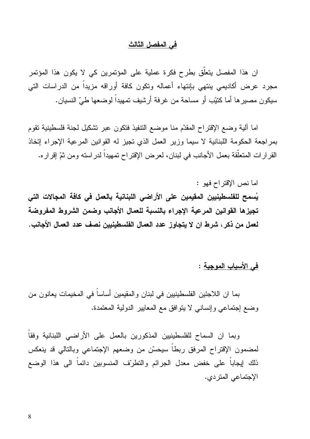### في المفصل الثالث

ان هذا المفصل يتعلَّق بطرح فكرة عملية على المؤتمرين كي لا يكون هذا المؤتمر مجرد عرض أكاديمي بنتهى بإنتهاء أعماله ونكون كافة أوراقه مزيداً من الدراسات التي سيكون مصبر ها أما كتيِّب أو مساحة من غرفة أرشيف تمهيداً لوضعها طيِّ النسيان.

اما ألية وضع الإقتراح المقدّم منا موضع التنفيذ فتكون عبر تشكيل لجنة فلسطينية تقوم بمراجعة الحكومة اللبنانية لا سيما وزير العمل الذي تجيز له القوانين المرعية الإجراء إتخاذ القرارات المتعلَّقة بعمل الأجانب في لبنان، لعرض الإقتراح تمهيداً لدراسته ومن نمِّ إقراره.

اما نص الإقتراح فهو : يُسمح للفلسطينيين المقيمين على الأراضى اللبنانية بالعمل في كافة المجالات التي تجيزها القوانين المرعية الإجراء بالنسبة للعمال الأجانب وضمن الشروط المفروضة لعمل من ذكر ، شرط ان لا يتجاوز ٍ عدد العمال الفلسطينيين نصف عدد العمال الأجانب .

في الأسباب الموجبة :

بما ان اللاجئين الفلسطينيين في لبنان والمقيمين أساسا في المخيمات يعانون من وضع إجتماعي وإنساني لا يتوافق مع المعايير الدولية المعتمدة.

وبما ان السماح للفلسطينيين المذكورين بالعمل على الأراضي اللبنانية وفقا لمضمون الإقتراح المرفق ربطا سيحسّن من وضعهم الإجتماعي وبالتالي قد ينعكس ذلك إيجابا على خفض معدل الجرائم والتطريّف المنسوبين دائما الى هذا الوضع الإجتماعي المتردي.